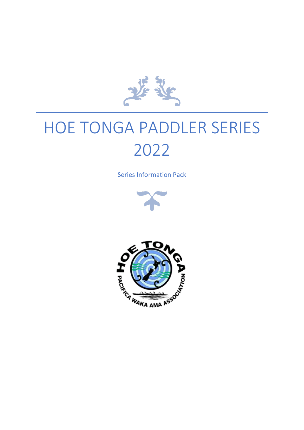

# HOE TONGA PADDLER SERIES 2022

Series Information Pack



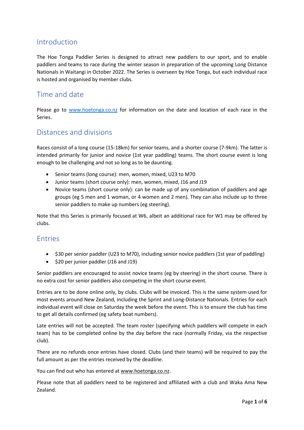#### Introduction

The Hoe Tonga Paddler Series is designed to attract new paddlers to our sport, and to enable paddlers and teams to race during the winter season in preparation of the upcoming Long Distance Nationals in Waitangi in October 2022. The Series is overseen by Hoe Tonga, but each individual race is hosted and organised by member clubs.

### Time and date

Please go to [www.hoetonga.co.nz](https://hoetonga.co.nz/2022/04/13/hoe-tonga-paddler-series-2022/) for information on the date and location of each race in the Series.

#### Distances and divisions

Races consist of a long course (15-18km) for senior teams, and a shorter course (7-9km). The latter is intended primarily for junior and novice (1st year paddling) teams. The short course event is long enough to be challenging and not so long as to be daunting.

- Senior teams (long course): men, women, mixed, U23 to M70
- Junior teams (short course only): men, women, mixed, J16 and J19
- Novice teams (short course only): can be made up of any combination of paddlers and age groups (eg 5 men and 1 woman, or 4 women and 2 men). They can also include up to three senior paddlers to make up numbers (eg steering).

Note that this Series is primarily focused at W6, albeit an additional race for W1 may be offered by clubs.

#### Entries

- \$30 per senior paddler (U23 to M70), including senior novice paddlers (1st year of paddling)
- \$20 per junior paddler (J16 and J19)

Senior paddlers are encouraged to assist novice teams (eg by steering) in the short course. There is no extra cost for senior paddlers also competing in the short course event.

Entries are to be done online only, by clubs. Clubs will be invoiced. This is the same system used for most events around New Zealand, including the Sprint and Long-Distance Nationals. Entries for each individual event will close on Saturday the week before the event. This is to ensure the club has time to get all details confirmed (eg safety boat numbers).

Late entries will not be accepted. The team roster (specifying which paddlers will compete in each team) has to be completed online by the day before the race (normally Friday, via the respective club).

There are no refunds once entries have closed. Clubs (and their teams) will be required to pay the full amount as per the entries received by the deadline.

You can find out who has entered a[t www.hoetonga.co.nz.](https://hoetonga.co.nz/2022/04/13/hoe-tonga-paddler-series-2022/)

Please note that all paddlers need to be registered and affiliated with a club and Waka Ama New Zealand.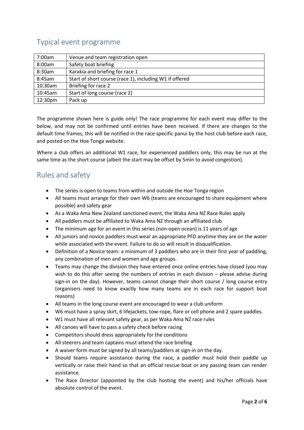## Typical event programme

| 7:00am  | Venue and team registration open                        |
|---------|---------------------------------------------------------|
| 8:00am  | Safety boat briefing                                    |
| 8:30am  | Karakia and briefing for race 1                         |
| 8:45am  | Start of short course (race 1), including W1 if offered |
| 10:30am | Briefing for race 2                                     |
| 10:45am | Start of long course (race 2)                           |
| 12:30pm | Pack up                                                 |

The programme shown here is guide only! The race programme for each event may differ to the below, and may not be confirmed until entries have been received. If there are changes to the default time frames, this will be notified in the race specific panui by the host club before each race, and posted on the Hoe Tonga website.

Where a club offers an additional W1 race, for experienced paddlers only, this may be run at the same time as the short course (albeit the start may be offset by 5min to avoid congestion).

## Rules and safety

- The series is open to teams from within and outside the Hoe Tonga region
- All teams must arrange for their own W6 (teams are encouraged to share equipment where possible) and safety gear
- As a Waka Ama New Zealand sanctioned event, the Waka Ama NZ Race Rules apply
- All paddlers must be affiliated to Waka Ama NZ through an affiliated club
- The minimum age for an event in this series (non-open ocean) is 11 years of age
- All juniors and novice paddlers must wear an appropriate PFD anytime they are on the water while associated with the event. Failure to do so will result in disqualification.
- Definition of a Novice team: a minimum of 3 paddlers who are in their first year of paddling, any combination of men and women and age groups.
- Teams may change the division they have entered once online entries have closed (you may wish to do this after seeing the numbers of entries in each division – please advise during sign-in on the day). However, teams cannot change their short course / long course entry (organisers need to know exactly how many teams are in each race for support boat reasons)
- All teams in the long course event are encouraged to wear a club uniform
- W6 must have a spray skirt, 6 lifejackets, tow-rope, flare or cell phone and 2 spare paddles.
- W1 must have all relevant safety gear, as per Waka Ama NZ race rules
- All canoes will have to pass a safety check before racing
- Competitors should dress appropriately for the conditions
- All steerers and team captains must attend the race briefing
- A waiver form must be signed by all teams/paddlers at sign-in on the day.
- Should teams require assistance during the race, a paddler must hold their paddle up vertically or raise their hand so that an official rescue boat or any passing team can render assistance.
- The Race Director (appointed by the club hosting the event) and his/her officials have absolute control of the event.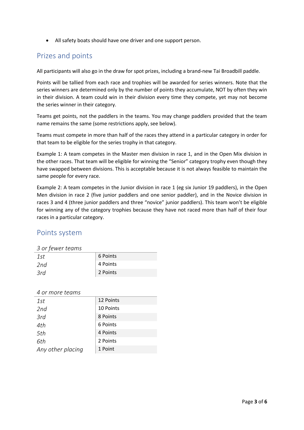• All safety boats should have one driver and one support person.

#### Prizes and points

All participants will also go in the draw for spot prizes, including a brand-new Tai Broadbill paddle.

Points will be tallied from each race and trophies will be awarded for series winners. Note that the series winners are determined only by the number of points they accumulate, NOT by often they win in their division. A team could win in their division every time they compete, yet may not become the series winner in their category.

Teams get points, not the paddlers in the teams. You may change paddlers provided that the team name remains the same (some restrictions apply, see below).

Teams must compete in more than half of the races they attend in a particular category in order for that team to be eligible for the series trophy in that category.

Example 1: A team competes in the Master men division in race 1, and in the Open Mix division in the other races. That team will be eligible for winning the "Senior" category trophy even though they have swapped between divisions. This is acceptable because it is not always feasible to maintain the same people for every race.

Example 2: A team competes in the Junior division in race 1 (eg six Junior 19 paddlers), in the Open Men division in race 2 (five junior paddlers and one senior paddler), and in the Novice division in races 3 and 4 (three junior paddlers and three "novice" junior paddlers). This team won't be eligible for winning any of the category trophies because they have not raced more than half of their four races in a particular category.

#### Points system

#### *3 or fewer teams*

| _ _ . _ _ _ _ |          |  |  |
|---------------|----------|--|--|
| 1st           | 6 Points |  |  |
| 2nd           | 4 Points |  |  |
| 3rd           | 2 Points |  |  |

*4 or more teams*

| 1st               | 12 Points |
|-------------------|-----------|
| 2nd               | 10 Points |
| 3rd               | 8 Points  |
| 4th               | 6 Points  |
| 5th               | 4 Points  |
| 6th               | 2 Points  |
| Any other placing | 1 Point   |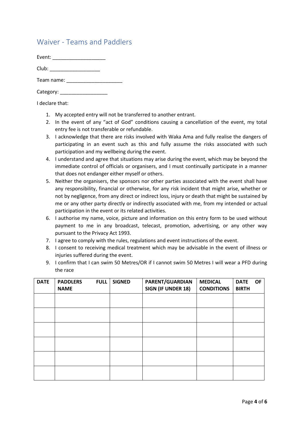### Waiver - Teams and Paddlers

Event: \_\_\_\_\_\_\_\_\_\_\_\_\_\_\_\_\_\_\_

| Club: |  |
|-------|--|
|       |  |

Team name: \_\_\_\_\_\_\_\_\_\_\_\_\_\_\_\_\_\_\_\_

I declare that:

- 1. My accepted entry will not be transferred to another entrant.
- 2. In the event of any "act of God" conditions causing a cancellation of the event, my total entry fee is not transferable or refundable.
- 3. I acknowledge that there are risks involved with Waka Ama and fully realise the dangers of participating in an event such as this and fully assume the risks associated with such participation and my wellbeing during the event.
- 4. I understand and agree that situations may arise during the event, which may be beyond the immediate control of officials or organisers, and I must continually participate in a manner that does not endanger either myself or others.
- 5. Neither the organisers, the sponsors nor other parties associated with the event shall have any responsibility, financial or otherwise, for any risk incident that might arise, whether or not by negligence, from any direct or indirect loss, injury or death that might be sustained by me or any other party directly or indirectly associated with me, from my intended or actual participation in the event or its related activities.
- 6. I authorise my name, voice, picture and information on this entry form to be used without payment to me in any broadcast, telecast, promotion, advertising, or any other way pursuant to the Privacy Act 1993.
- 7. I agree to comply with the rules, regulations and event instructions of the event.
- 8. I consent to receiving medical treatment which may be advisable in the event of illness or injuries suffered during the event.
- 9. I confirm that I can swim 50 Metres/OR if I cannot swim 50 Metres I will wear a PFD during the race

| <b>DATE</b> | <b>PADDLERS</b><br><b>NAME</b> | <b>FULL</b> | <b>SIGNED</b> | PARENT/GUARDIAN<br><b>SIGN (IF UNDER 18)</b> | <b>MEDICAL</b><br><b>CONDITIONS</b> | <b>DATE</b><br><b>BIRTH</b> | <b>OF</b> |
|-------------|--------------------------------|-------------|---------------|----------------------------------------------|-------------------------------------|-----------------------------|-----------|
|             |                                |             |               |                                              |                                     |                             |           |
|             |                                |             |               |                                              |                                     |                             |           |
|             |                                |             |               |                                              |                                     |                             |           |
|             |                                |             |               |                                              |                                     |                             |           |
|             |                                |             |               |                                              |                                     |                             |           |
|             |                                |             |               |                                              |                                     |                             |           |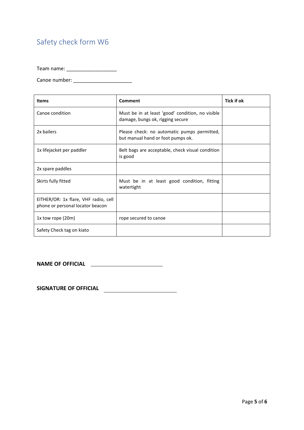# Safety check form W6

Team name: \_\_\_\_\_\_\_\_\_\_\_\_\_\_\_\_\_\_

Canoe number: \_\_\_\_\_\_\_\_\_\_\_\_\_\_\_\_\_\_\_\_\_

| <b>Items</b>                                                             | Comment                                                                              | Tick if ok |
|--------------------------------------------------------------------------|--------------------------------------------------------------------------------------|------------|
| Canoe condition                                                          | Must be in at least 'good' condition, no visible<br>damage, bungs ok, rigging secure |            |
| 2x bailers                                                               | Please check: no automatic pumps permitted,<br>but manual hand or foot pumps ok.     |            |
| 1x lifejacket per paddler                                                | Belt bags are acceptable, check visual condition<br>is good                          |            |
| 2x spare paddles                                                         |                                                                                      |            |
| Skirts fully fitted                                                      | Must be in at least good condition, fitting<br>watertight                            |            |
| EITHER/OR: 1x flare, VHF radio, cell<br>phone or personal locator beacon |                                                                                      |            |
| $1x$ tow rope (20m)                                                      | rope secured to canoe                                                                |            |
| Safety Check tag on kiato                                                |                                                                                      |            |

**NAME OF OFFICIAL**

**SIGNATURE OF OFFICIAL**